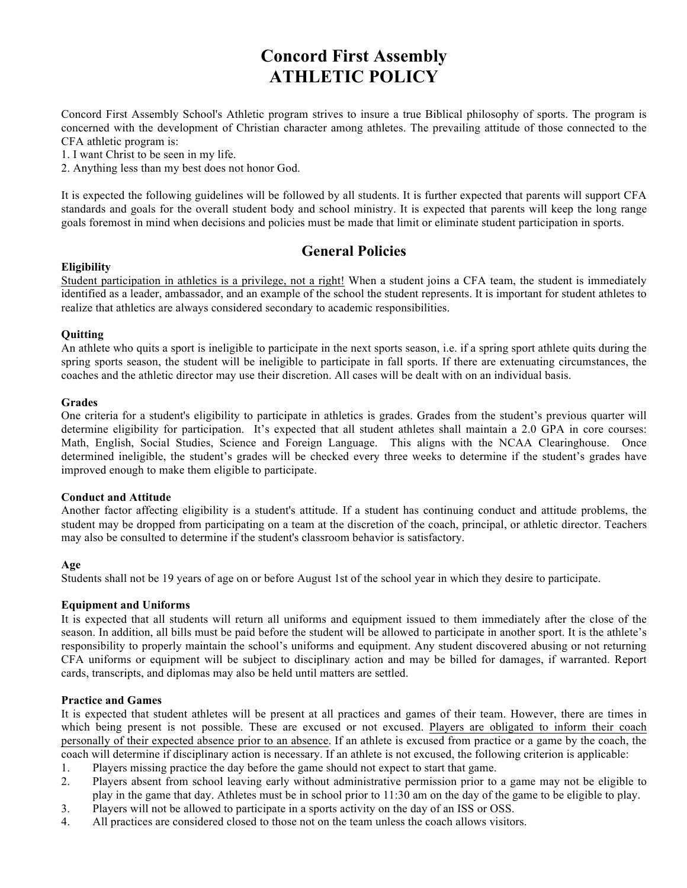# **Concord First Assembly ATHLETIC POLICY**

Concord First Assembly School's Athletic program strives to insure a true Biblical philosophy of sports. The program is concerned with the development of Christian character among athletes. The prevailing attitude of those connected to the CFA athletic program is:

1. I want Christ to be seen in my life.

2. Anything less than my best does not honor God.

It is expected the following guidelines will be followed by all students. It is further expected that parents will support CFA standards and goals for the overall student body and school ministry. It is expected that parents will keep the long range goals foremost in mind when decisions and policies must be made that limit or eliminate student participation in sports.

# **General Policies**

# **Eligibility**

Student participation in athletics is a privilege, not a right! When a student joins a CFA team, the student is immediately identified as a leader, ambassador, and an example of the school the student represents. It is important for student athletes to realize that athletics are always considered secondary to academic responsibilities.

# **Quitting**

An athlete who quits a sport is ineligible to participate in the next sports season, i.e. if a spring sport athlete quits during the spring sports season, the student will be ineligible to participate in fall sports. If there are extenuating circumstances, the coaches and the athletic director may use their discretion. All cases will be dealt with on an individual basis.

# **Grades**

One criteria for a student's eligibility to participate in athletics is grades. Grades from the student's previous quarter will determine eligibility for participation. It's expected that all student athletes shall maintain a 2.0 GPA in core courses: Math, English, Social Studies, Science and Foreign Language. This aligns with the NCAA Clearinghouse. Once determined ineligible, the student's grades will be checked every three weeks to determine if the student's grades have improved enough to make them eligible to participate.

# **Conduct and Attitude**

Another factor affecting eligibility is a student's attitude. If a student has continuing conduct and attitude problems, the student may be dropped from participating on a team at the discretion of the coach, principal, or athletic director. Teachers may also be consulted to determine if the student's classroom behavior is satisfactory.

# **Age**

Students shall not be 19 years of age on or before August 1st of the school year in which they desire to participate.

#### **Equipment and Uniforms**

It is expected that all students will return all uniforms and equipment issued to them immediately after the close of the season. In addition, all bills must be paid before the student will be allowed to participate in another sport. It is the athlete's responsibility to properly maintain the school's uniforms and equipment. Any student discovered abusing or not returning CFA uniforms or equipment will be subject to disciplinary action and may be billed for damages, if warranted. Report cards, transcripts, and diplomas may also be held until matters are settled.

# **Practice and Games**

It is expected that student athletes will be present at all practices and games of their team. However, there are times in which being present is not possible. These are excused or not excused. Players are obligated to inform their coach personally of their expected absence prior to an absence. If an athlete is excused from practice or a game by the coach, the coach will determine if disciplinary action is necessary. If an athlete is not excused, the following criterion is applicable:

- 1. Players missing practice the day before the game should not expect to start that game.
- 2. Players absent from school leaving early without administrative permission prior to a game may not be eligible to play in the game that day. Athletes must be in school prior to 11:30 am on the day of the game to be eligible to play.
- 3. Players will not be allowed to participate in a sports activity on the day of an ISS or OSS.
- 4. All practices are considered closed to those not on the team unless the coach allows visitors.